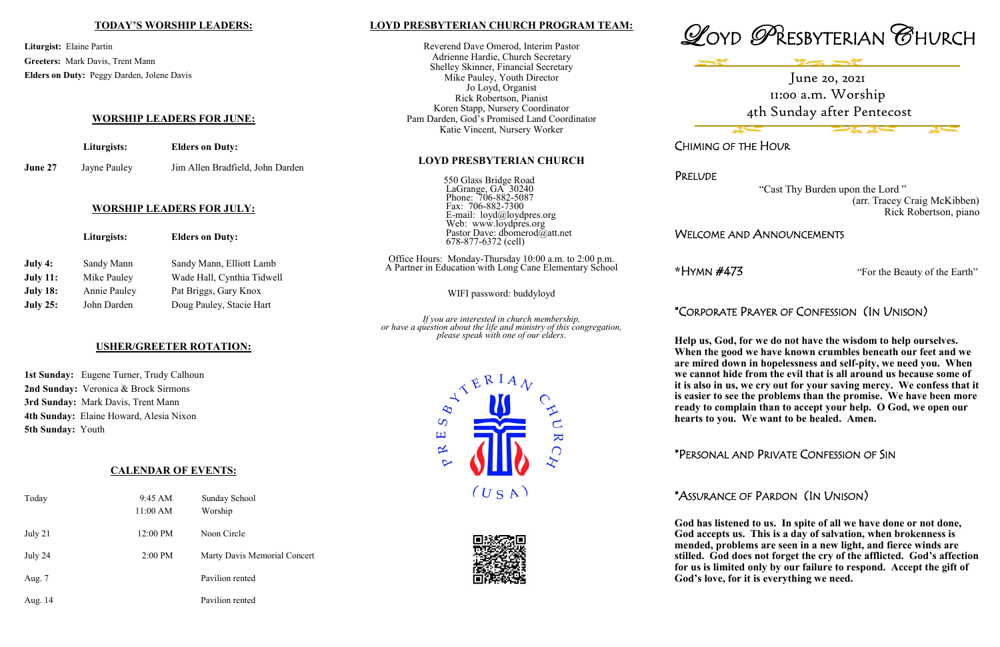#### **LOYD PRESBYTERIAN CHURCH PROGRAM TEAM:**

550 Glass Bridge Road LaGrange, GA 30240 Phone: 706-882-5087 Fax: 706-882-7300 E-mail: loyd@loydpres.org Web: www.loydpres.org

> a.m. to  $2:00$  p.m. Elementary School

Reverend Dave Omerod, Interim Pastor Adrienne Hardie, Church Secretary Shelley Skinner, Financial Secretary Mike Pauley, Youth Director Jo Loyd, Organist Rick Robertson, Pianist Koren Stapp, Nursery Coordinator Pam Darden, God's Promised Land Coordinator Katie Vincent, Nursery Worker

#### **LOYD PRESBYTERIAN CHURCH**

*If you are interested in church membership, or have a question about the life and ministry of this congregation, please speak with one of our elders.*









**PRELUDE** 

CHIMING OF THE HOUR

 "Cast Thy Burden upon the Lord " (arr. Tracey Craig McKibben) Rick Robertson, piano

# WELCOME AND ANNOUNCEMENTS

**\***HYMN #473 "For the Beauty of the Earth"

# \*CORPORATE PRAYER OF CONFESSION (IN UNISON)

**Help us, God, for we do not have the wisdom to help ourselves. When the good we have known crumbles beneath our feet and we are mired down in hopelessness and self-pity, we need you. When we cannot hide from the evil that is all around us because some of it is also in us, we cry out for your saving mercy. We confess that it is easier to see the problems than the promise. We have been more ready to complain than to accept your help. O God, we open our hearts to you. We want to be healed. Amen.**

|                 | Liturgists:         | <b>Elders on Duty:</b>     | Pastor Dave: dbomerod $\ddot{\omega}$ att.net<br>678-877-6372 (cell)                        |
|-----------------|---------------------|----------------------------|---------------------------------------------------------------------------------------------|
| July 4:         | Sandy Mann          | Sandy Mann, Elliott Lamb   | Office Hours: Monday-Thursday 10:00 a.m. to<br>A Partner in Education with Long Cane Elemen |
| <b>July 11:</b> | Mike Pauley         | Wade Hall, Cynthia Tidwell |                                                                                             |
| <b>July 18:</b> | <b>Annie Pauley</b> | Pat Briggs, Gary Knox      | WIFI password: buddyloyd                                                                    |
| <b>July 25:</b> | John Darden         | Doug Pauley, Stacie Hart   |                                                                                             |
|                 |                     |                            |                                                                                             |

\*PERSONAL AND PRIVATE CONFESSION OF SIN

# \*ASSURANCE OF PARDON (IN UNISON)

**God has listened to us. In spite of all we have done or not done, God accepts us. This is a day of salvation, when brokenness is mended, problems are seen in a new light, and fierce winds are stilled. God does not forget the cry of the afflicted. God's affection for us is limited only by our failure to respond. Accept the gift of God's love, for it is everything we need.**

#### **TODAY'S WORSHIP LEADERS:**

**Liturgist:** Elaine Partin **Greeters:** Mark Davis, Trent Mann **Elders on Duty:** Peggy Darden, Jolene Davis

#### **WORSHIP LEADERS FOR JUNE:**

| Liturgists: | <b>Elders on Duty:</b> |  |
|-------------|------------------------|--|
|             |                        |  |

**June 27** Jayne Pauley Jim Allen Bradfield, John Darden

#### **WORSHIP LEADERS FOR JULY:**

#### **USHER/GREETER ROTATION:**

|                          | <b>1st Sunday:</b> Eugene Turner, Trudy Calhoun |
|--------------------------|-------------------------------------------------|
|                          | 2nd Sunday: Veronica & Brock Sirmons            |
|                          | 3rd Sunday: Mark Davis, Trent Mann              |
|                          | 4th Sunday: Elaine Howard, Alesia Nixon         |
| <b>5th Sunday: Youth</b> |                                                 |

## **CALENDAR OF EVENTS:**

| Today   | $9:45 \text{ AM}$<br>11:00 AM | Sunday School<br>Worship     |
|---------|-------------------------------|------------------------------|
| July 21 | 12:00 PM                      | Noon Circle                  |
| July 24 | 2:00 PM                       | Marty Davis Memorial Concert |
| Aug. 7  |                               | Pavilion rented              |
| Aug. 14 |                               | Pavilion rented              |

June 20, 2021 11:00 a.m. Worship 4th Sunday after Pentecost